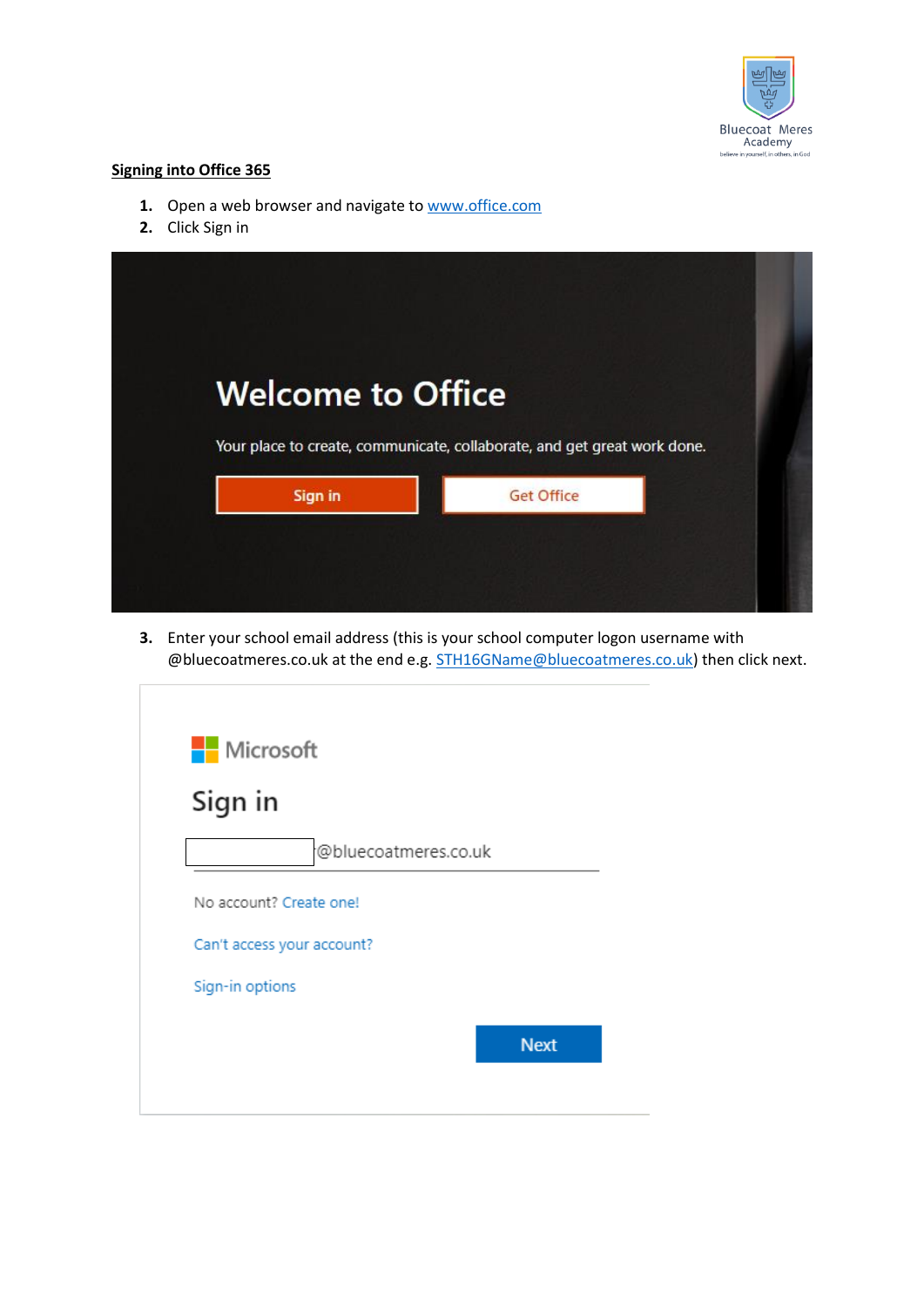

# **Signing into Office 365**

- 1. Open a web browser and navigate t[o www.office.com](http://www.office.com/)
- **2.** Click Sign in



**3.** Enter your school email address (this is your school computer logon username with @bluecoatmeres.co.uk at the end e.g. [STH16GName@bluecoatmeres.co.uk\)](mailto:STH16GName@bluecoatmeres.co.uk) then click next.

| Microsoft                  |                      |
|----------------------------|----------------------|
| Sign in                    |                      |
|                            | @bluecoatmeres.co.uk |
| No account? Create one!    |                      |
| Can't access your account? |                      |
| Sign-in options            |                      |
|                            | <b>Next</b>          |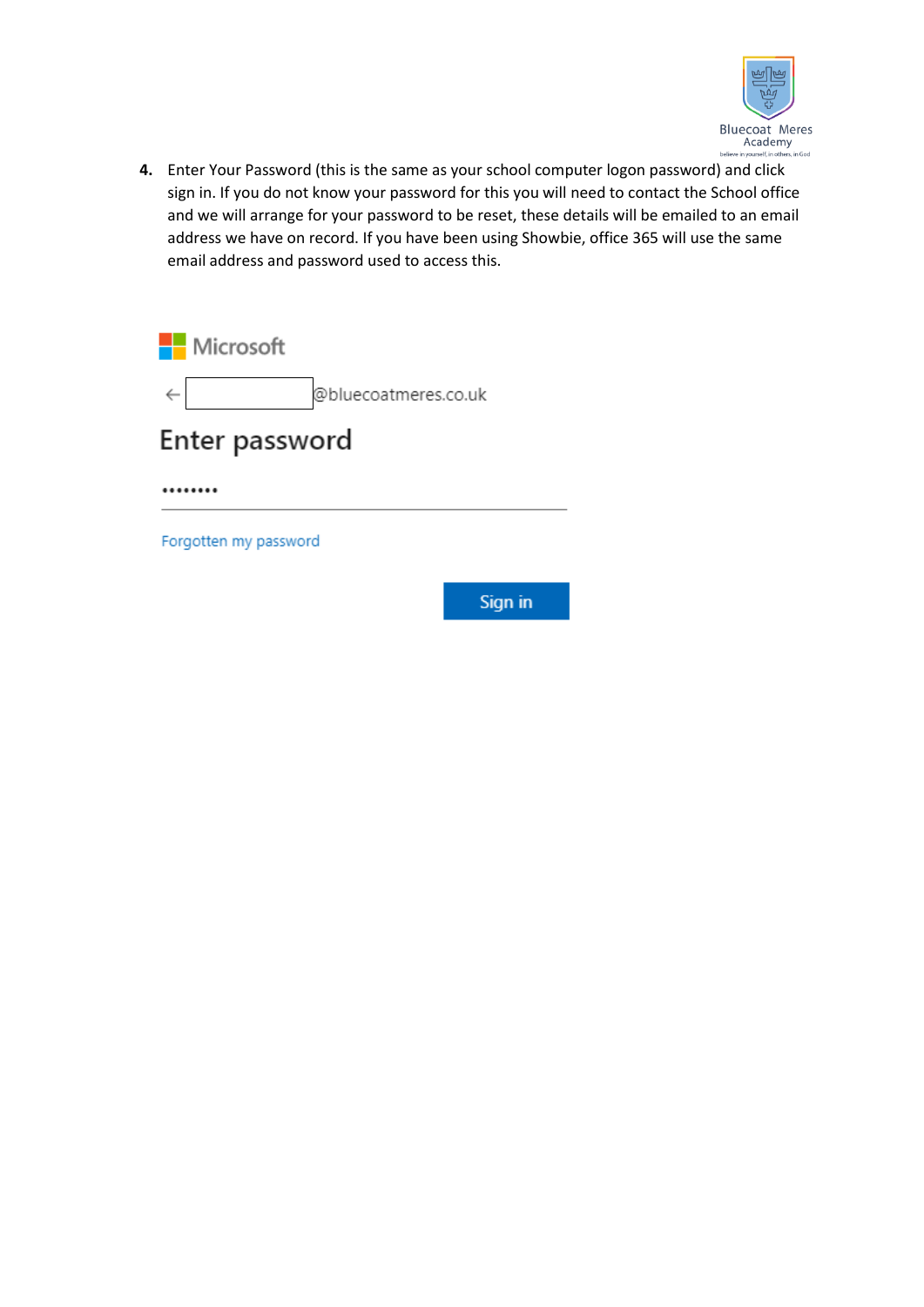

**4.** Enter Your Password (this is the same as your school computer logon password) and click sign in. If you do not know your password for this you will need to contact the School office and we will arrange for your password to be reset, these details will be emailed to an email address we have on record. If you have been using Showbie, office 365 will use the same email address and password used to access this.

Microsoft @bluecoatmeres.co.uk Enter password

........

Forgotten my password

Sign in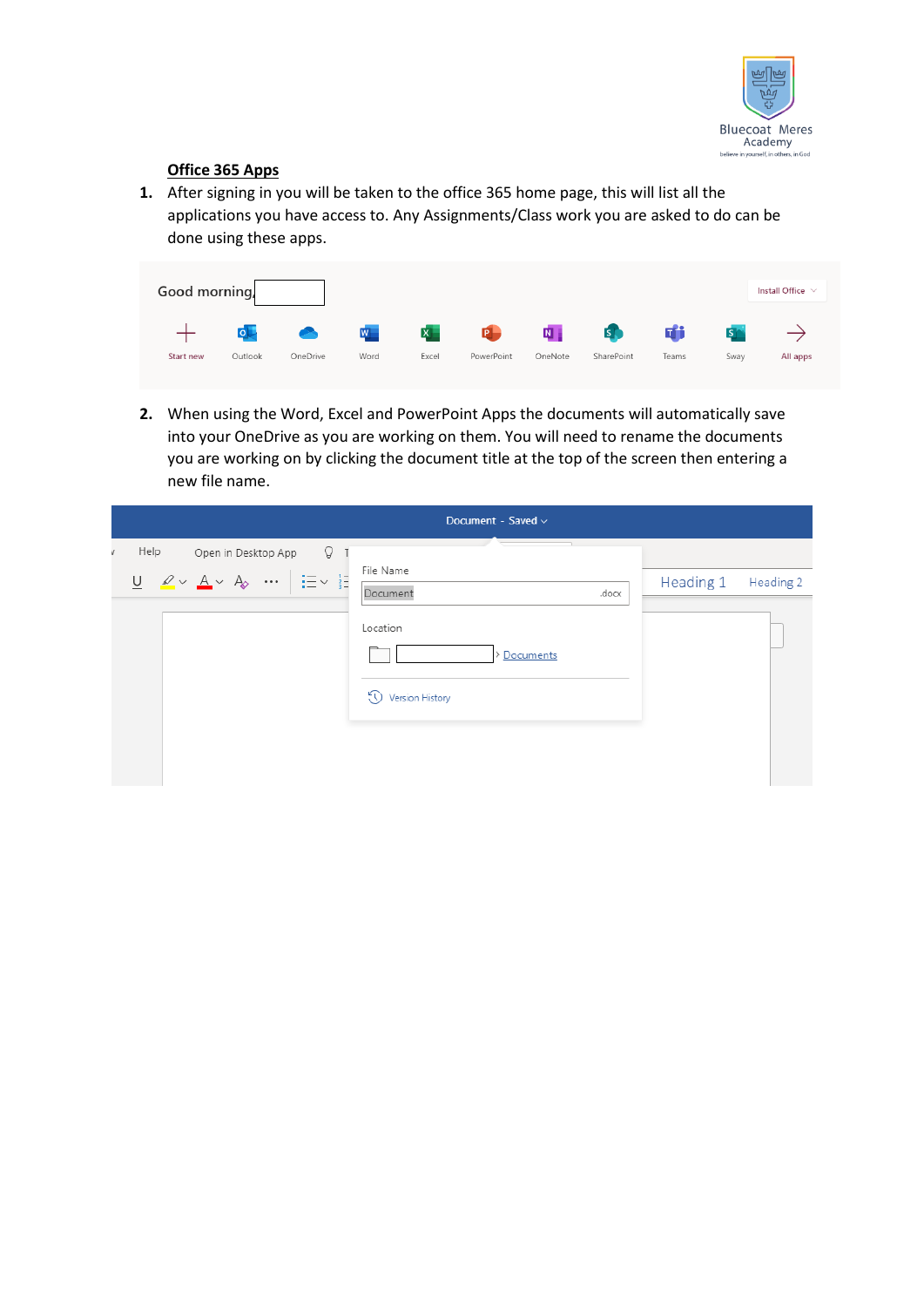

# **Office 365 Apps**

**1.** After signing in you will be taken to the office 365 home page, this will list all the applications you have access to. Any Assignments/Class work you are asked to do can be done using these apps.

| Good morning, |                                                 |                  |       |              |            |                         |            |       |            | Install Office $\vee$ |
|---------------|-------------------------------------------------|------------------|-------|--------------|------------|-------------------------|------------|-------|------------|-----------------------|
|               | $\overline{\mathsf{o}}$ $\overline{\mathsf{p}}$ | $\blacktriangle$ | $W^-$ | $\mathbf{x}$ | <b>P</b>   | $\overline{\mathbf{N}}$ | <b>SP</b>  | di    | <b>SIA</b> |                       |
| Start new     | Outlook                                         | OneDrive         | Word  | Excel        | PowerPoint | OneNote                 | SharePoint | Teams | Swav       | All apps              |

**2.** When using the Word, Excel and PowerPoint Apps the documents will automatically save into your OneDrive as you are working on them. You will need to rename the documents you are working on by clicking the document title at the top of the screen then entering a new file name.

|                                                                                                                                                                       | Document - Saved $\vee$                  |                        |
|-----------------------------------------------------------------------------------------------------------------------------------------------------------------------|------------------------------------------|------------------------|
| Help<br>Q<br>Open in Desktop App                                                                                                                                      | File Name                                |                        |
| $\underline{\mathsf{U}}\quad \underline{\mathscr{L}}\times\ \underline{\mathsf{A}}\times\ \mathsf{A}_{\!\!\mathsf{0}}\quad \cdots\ \Big \ \vdots\vdots\vdots\ \vdots$ | Document<br>.docx                        | Heading 1<br>Heading 2 |
|                                                                                                                                                                       | Location<br>Documents<br>Version History |                        |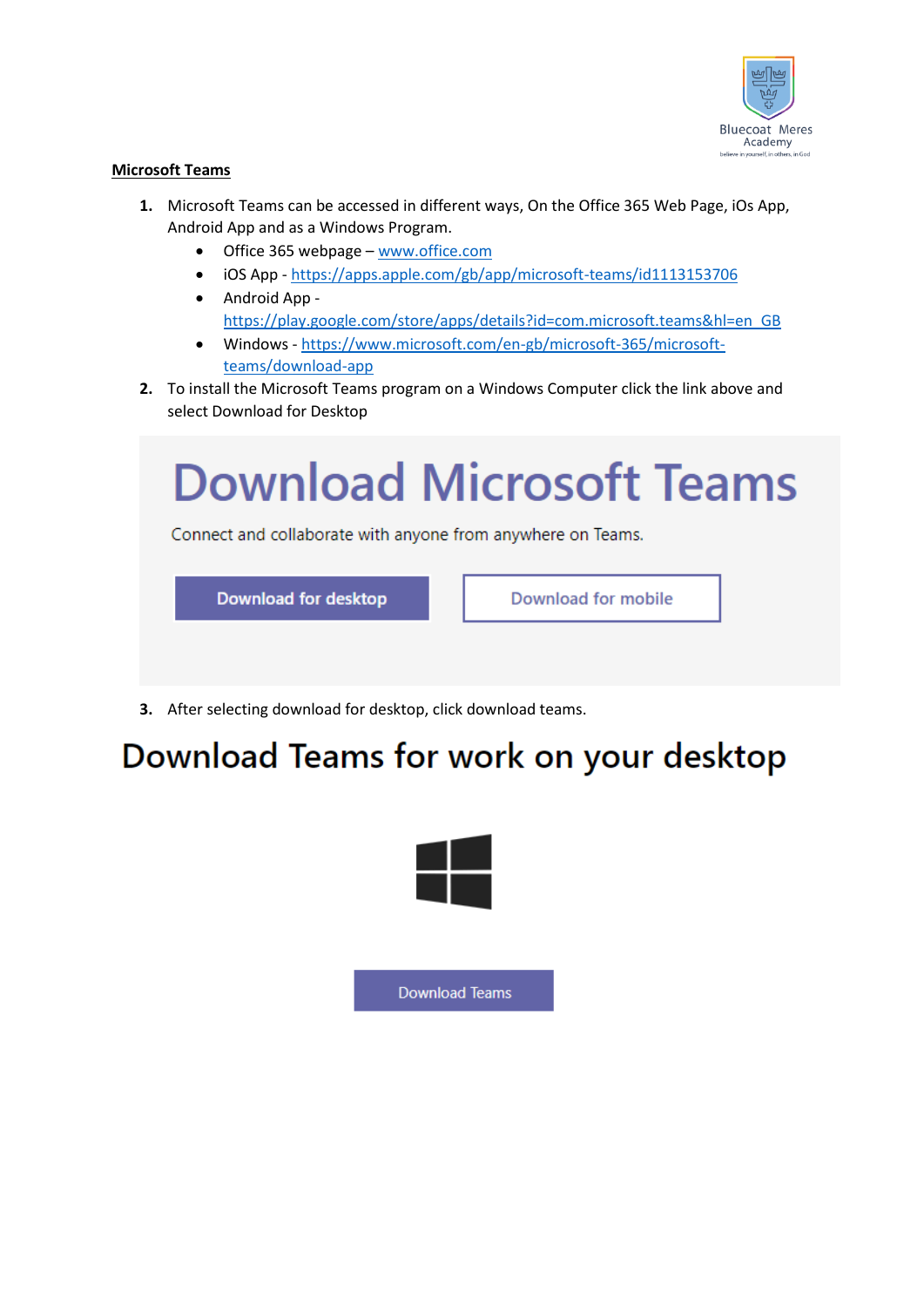

# **Microsoft Teams**

- **1.** Microsoft Teams can be accessed in different ways, On the Office 365 Web Page, iOs App, Android App and as a Windows Program.
	- Office 365 webpage [www.office.com](http://www.office.com/)
	- iOS App <https://apps.apple.com/gb/app/microsoft-teams/id1113153706>
	- Android App [https://play.google.com/store/apps/details?id=com.microsoft.teams&hl=en\\_GB](https://play.google.com/store/apps/details?id=com.microsoft.teams&hl=en_GB)
	- Windows [https://www.microsoft.com/en-gb/microsoft-365/microsoft](https://www.microsoft.com/en-gb/microsoft-365/microsoft-teams/download-app)[teams/download-app](https://www.microsoft.com/en-gb/microsoft-365/microsoft-teams/download-app)
- **2.** To install the Microsoft Teams program on a Windows Computer click the link above and select Download for Desktop

# **Download Microsoft Teams**

Connect and collaborate with anyone from anywhere on Teams.



Download for mobile

**3.** After selecting download for desktop, click download teams.

# Download Teams for work on your desktop



**Download Teams**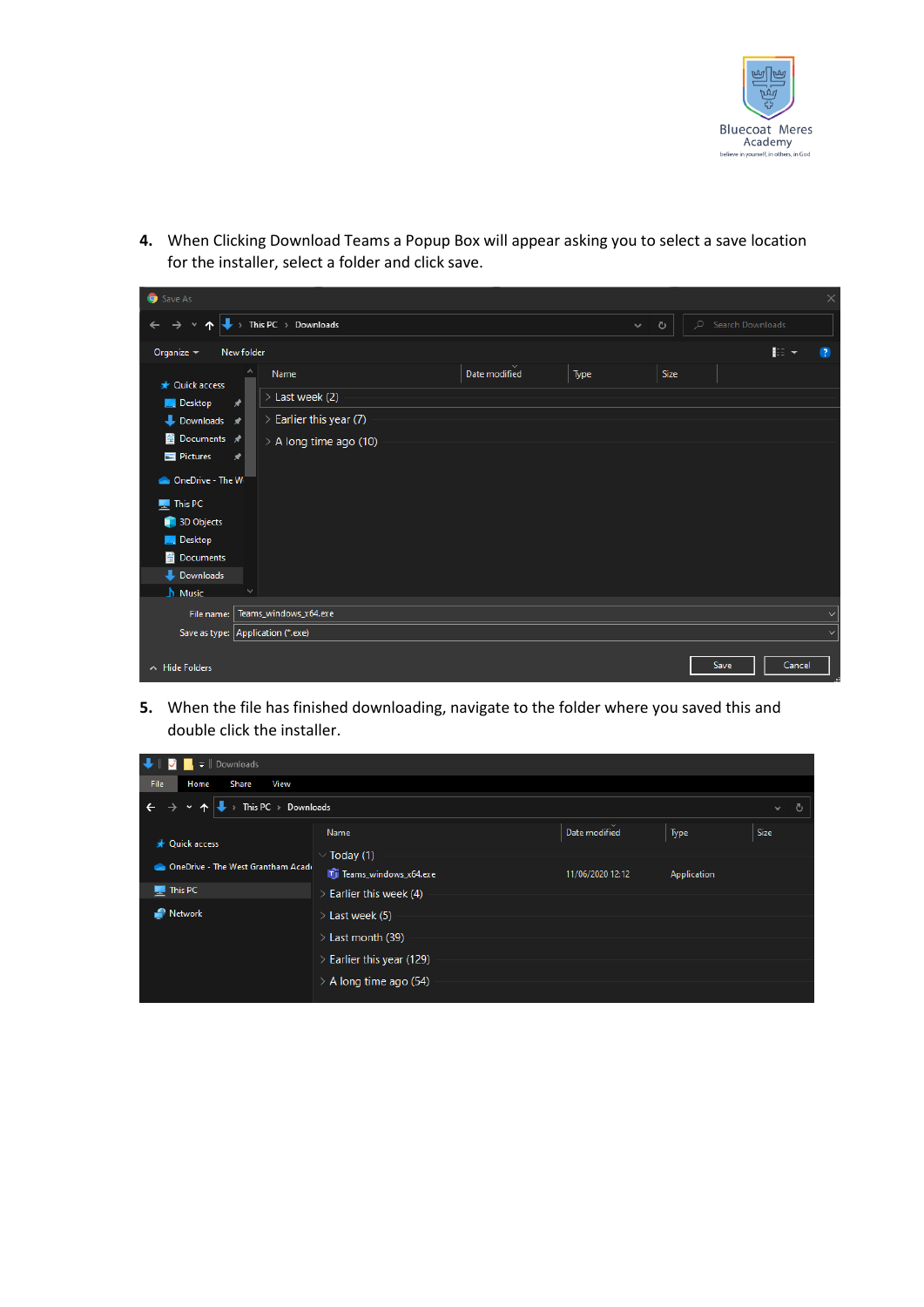

**4.** When Clicking Download Teams a Popup Box will appear asking you to select a save location for the installer, select a folder and click save.

| Save As                                                                                                                           |            |                              |  |               |      |      |      |        | $\times$ |
|-----------------------------------------------------------------------------------------------------------------------------------|------------|------------------------------|--|---------------|------|------|------|--------|----------|
| $\rightarrow$ This PC $\rightarrow$ Downloads<br>Search Downloads<br>$\circ$<br>$\circ$<br>$\checkmark$<br>→<br>$\checkmark$<br>́ |            |                              |  |               |      |      |      |        |          |
| Organize $\sim$                                                                                                                   | New folder |                              |  |               |      |      |      | ■三 ▼   | -2       |
| <b>A</b> Quick access                                                                                                             | $\wedge$   | Name                         |  | Date modified | Type | Size |      |        |          |
| <b>Desktop</b>                                                                                                                    | ⊀          | > Last week (2)              |  |               |      |      |      |        |          |
| $\bullet$ Downloads $\star$                                                                                                       |            | $\geq$ Earlier this year (7) |  |               |      |      |      |        |          |
| <b>E</b> Documents <del></del> ★                                                                                                  |            | > A long time ago (10)       |  |               |      |      |      |        |          |
| Pictures                                                                                                                          | $\star$    |                              |  |               |      |      |      |        |          |
| ConeDrive - The W                                                                                                                 |            |                              |  |               |      |      |      |        |          |
| <b>This PC</b>                                                                                                                    |            |                              |  |               |      |      |      |        |          |
| 3D Objects                                                                                                                        |            |                              |  |               |      |      |      |        |          |
| <b>Desktop</b>                                                                                                                    |            |                              |  |               |      |      |      |        |          |
| <b>■</b> Documents                                                                                                                |            |                              |  |               |      |      |      |        |          |
| Downloads                                                                                                                         |            |                              |  |               |      |      |      |        |          |
| $\sqrt{\phantom{a}}$ Music                                                                                                        |            |                              |  |               |      |      |      |        |          |
| File name:                                                                                                                        |            | Teams_windows_x64.exe        |  |               |      |      |      |        |          |
| Save as type: Application (*.exe)                                                                                                 |            |                              |  |               |      |      |      |        |          |
|                                                                                                                                   |            |                              |  |               |      |      |      |        |          |
| $\land$ Hide Folders                                                                                                              |            |                              |  |               |      |      | Save | Cancel |          |

**5.** When the file has finished downloading, navigate to the folder where you saved this and double click the installer.

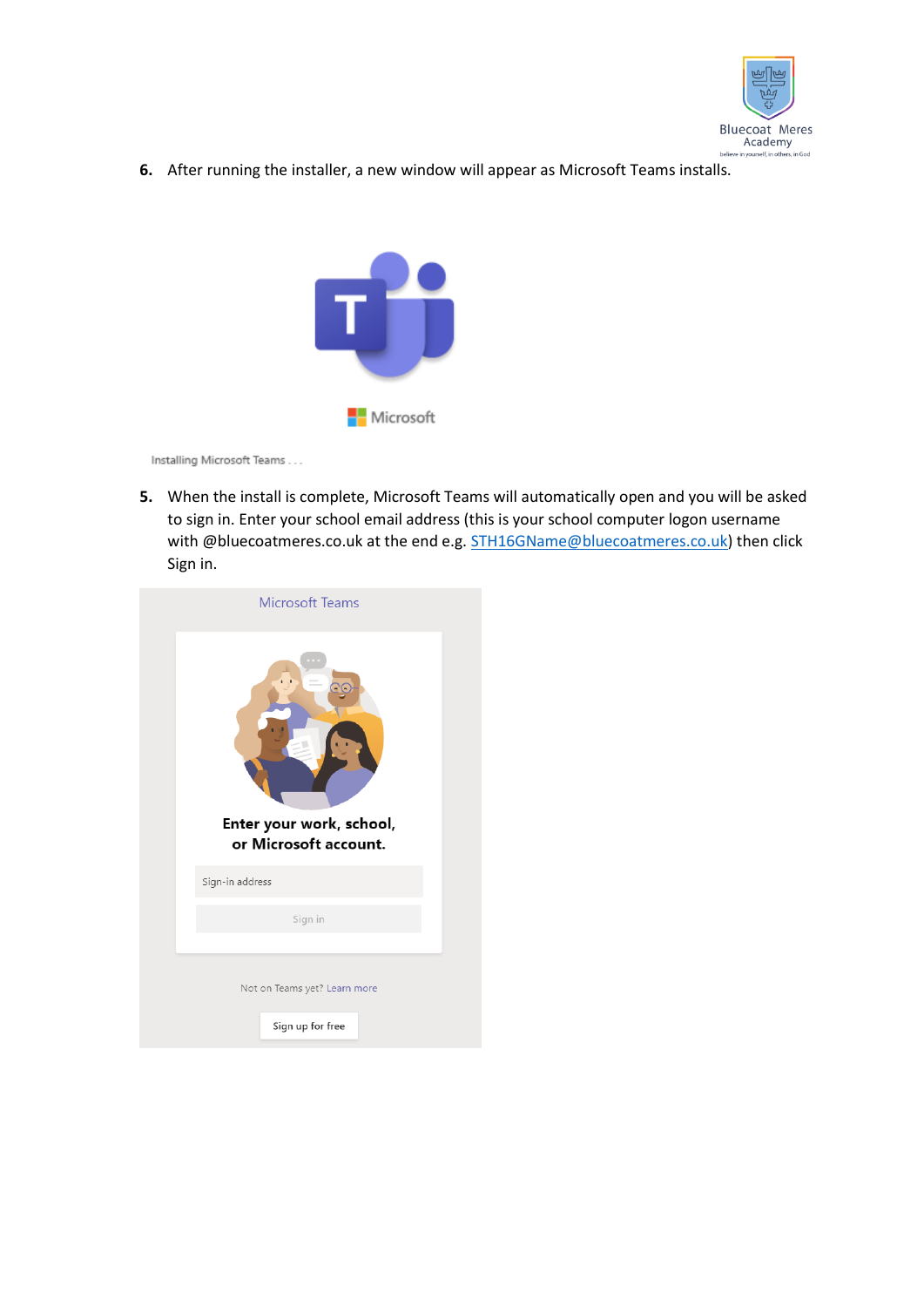

**6.** After running the installer, a new window will appear as Microsoft Teams installs.



Installing Microsoft Teams . . .

**5.** When the install is complete, Microsoft Teams will automatically open and you will be asked to sign in. Enter your school email address (this is your school computer logon username with @bluecoatmeres.co.uk at the end e.g. [STH16GName@bluecoatmeres.co.uk\)](mailto:STH16GName@bluecoatmeres.co.uk) then click Sign in.

| <b>Microsoft Teams</b>                            |  |
|---------------------------------------------------|--|
| Enter your work, school,<br>or Microsoft account. |  |
| Sign-in address                                   |  |
| Sign in                                           |  |
|                                                   |  |
| Not on Teams yet? Learn more                      |  |
|                                                   |  |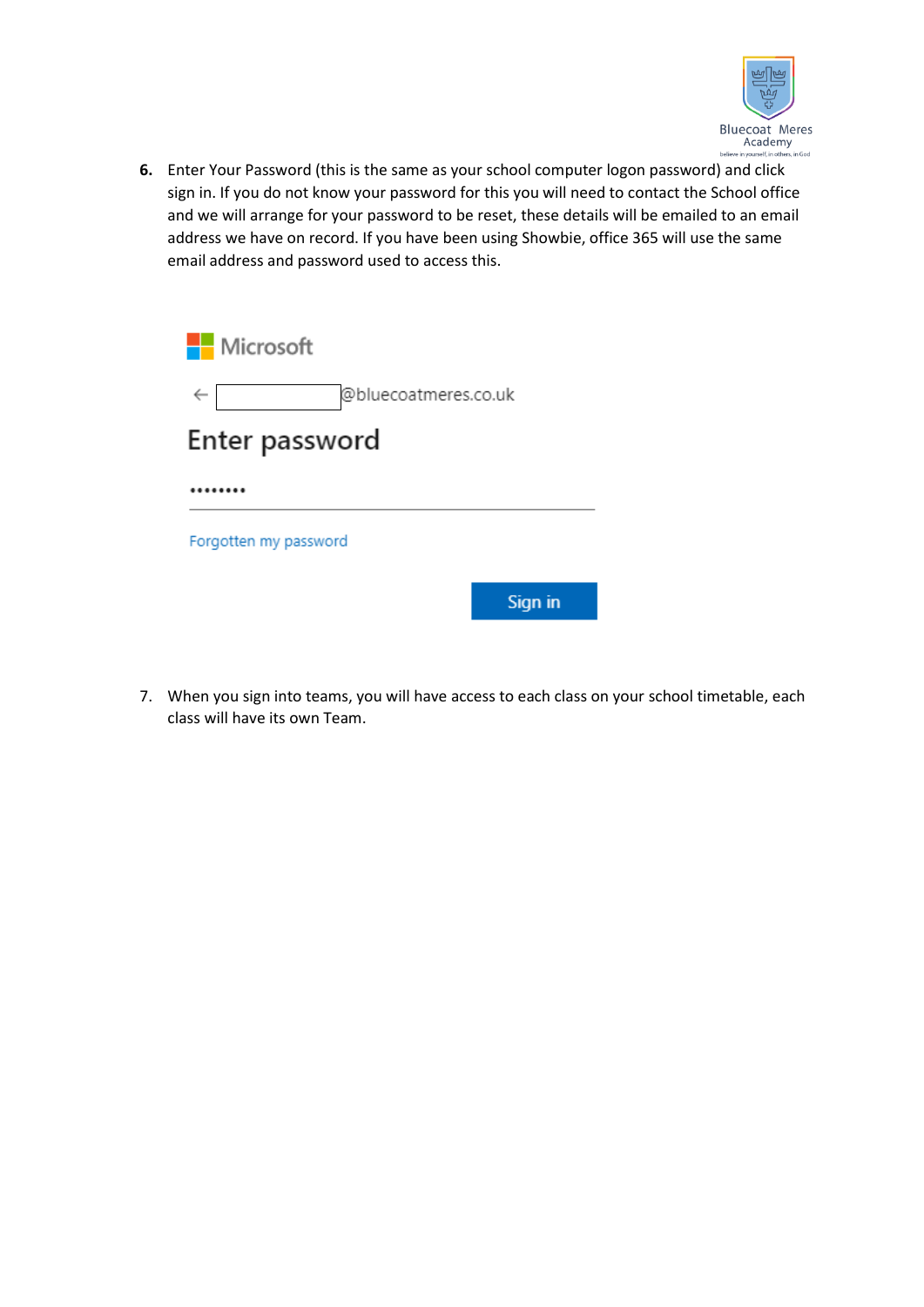

**6.** Enter Your Password (this is the same as your school computer logon password) and click sign in. If you do not know your password for this you will need to contact the School office and we will arrange for your password to be reset, these details will be emailed to an email address we have on record. If you have been using Showbie, office 365 will use the same email address and password used to access this.

| <b>Nicrosoft</b>      |                      |         |
|-----------------------|----------------------|---------|
| $\leftarrow$          | @bluecoatmeres.co.uk |         |
| Enter password        |                      |         |
|                       |                      |         |
| Forgotten my password |                      |         |
|                       |                      | Sign in |

7. When you sign into teams, you will have access to each class on your school timetable, each class will have its own Team.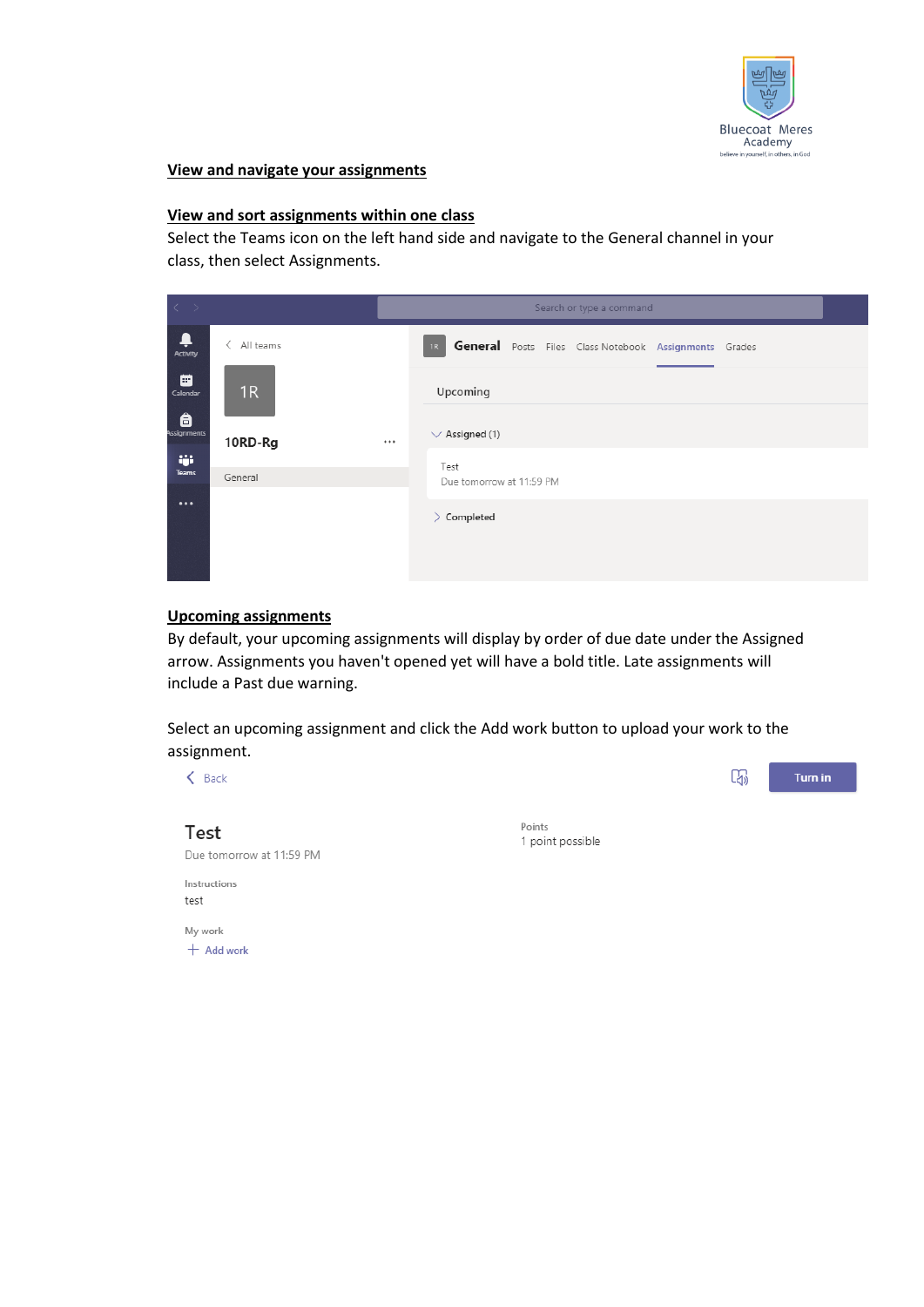

#### **View and navigate your assignments**

# **View and sort assignments within one class**

Select the Teams icon on the left hand side and navigate to the General channel in your class, then select Assignments.

| $\langle \cdot \rangle$                                                |                | Search or type a command |                                                                |  |  |  |  |
|------------------------------------------------------------------------|----------------|--------------------------|----------------------------------------------------------------|--|--|--|--|
| $\begin{array}{c}\n\bullet \\ \bullet \\ \text{Activity}\n\end{array}$ | く<br>All teams |                          | General Posts Files Class Notebook Assignments Grades<br>$-1R$ |  |  |  |  |
| ₩<br>Calendar                                                          | 1R             |                          | Upcoming                                                       |  |  |  |  |
| â<br>Assignments                                                       | 10RD-Rg        | $\cdots$                 | $\vee$ Assigned (1)                                            |  |  |  |  |
| iĝi.<br>Teams                                                          | General        |                          | Test<br>Due tomorrow at 11:59 PM                               |  |  |  |  |
| $\cdots$                                                               |                |                          | Completed<br>⋋                                                 |  |  |  |  |
|                                                                        |                |                          |                                                                |  |  |  |  |

#### **Upcoming assignments**

By default, your upcoming assignments will display by order of due date under the Assigned arrow. Assignments you haven't opened yet will have a bold title. Late assignments will include a Past due warning.

Select an upcoming assignment and click the Add work button to upload your work to the assignment.

| Back                     |                            | E5) | <b>Turn in</b> |
|--------------------------|----------------------------|-----|----------------|
|                          |                            |     |                |
| Test                     | Points<br>1 point possible |     |                |
| Due tomorrow at 11:59 PM |                            |     |                |
| Instructions             |                            |     |                |
| test                     |                            |     |                |
| My work                  |                            |     |                |
| $+$ Add work             |                            |     |                |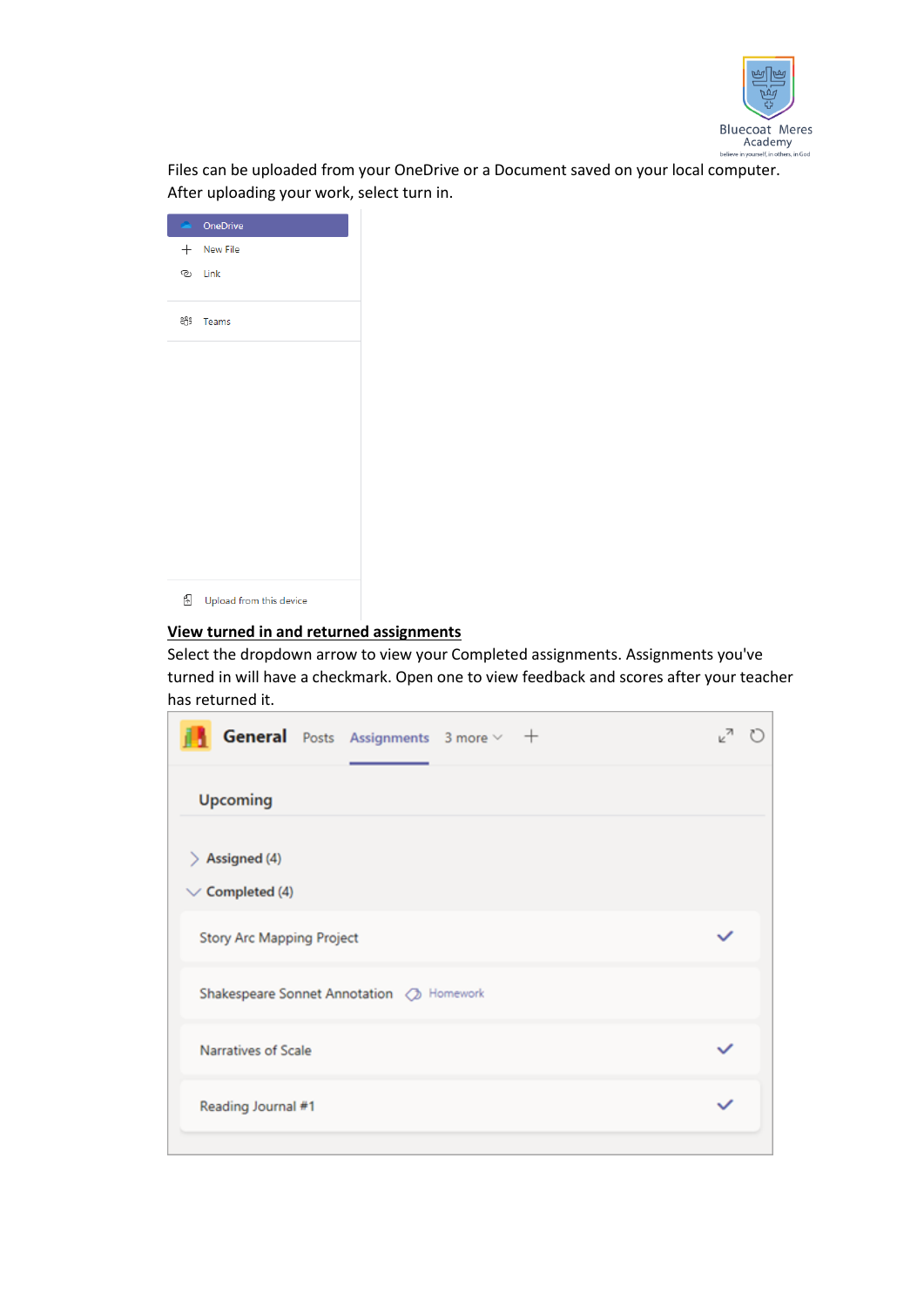

Files can be uploaded from your OneDrive or a Document saved on your local computer. After uploading your work, select turn in.

|   | <b>ConeDrive</b>        |
|---|-------------------------|
|   | $+$ New File            |
|   | ම Link                  |
|   | ະິບໍ <sup>5</sup> Teams |
|   |                         |
|   |                         |
|   |                         |
|   |                         |
|   |                         |
|   |                         |
|   |                         |
|   |                         |
| ⊕ | Upload from this device |

# **View turned in and returned assignments**

Select the dropdown arrow to view your Completed assignments. Assignments you've turned in will have a checkmark. Open one to view feedback and scores after your teacher has returned it.

| General Posts Assignments 3 more v +        |  |
|---------------------------------------------|--|
| <b>Upcoming</b>                             |  |
| $\geq$ Assigned (4)<br>$\vee$ Completed (4) |  |
| <b>Story Arc Mapping Project</b>            |  |
| Shakespeare Sonnet Annotation 2 Homework    |  |
| Narratives of Scale                         |  |
| Reading Journal #1                          |  |